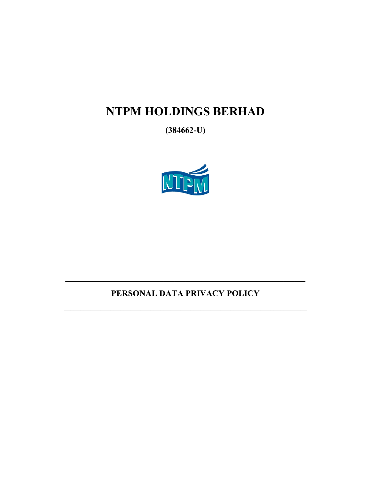# NTPM HOLDINGS BERHAD

 $(384662-U)$ 



# PERSONAL DATA PRIVACY POLICY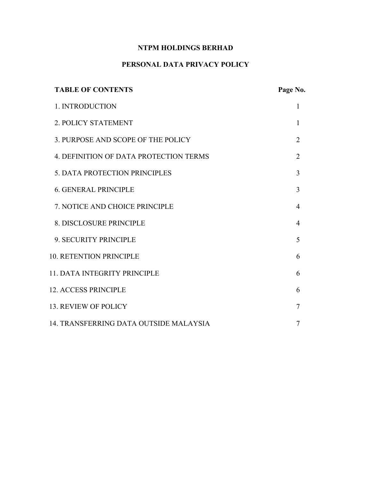# **NTPM HOLDINGS BERHAD**

# **PERSONAL DATA PRIVACY POLICY**

| <b>TABLE OF CONTENTS</b>                      | Page No.       |
|-----------------------------------------------|----------------|
| 1. INTRODUCTION                               | 1              |
| 2. POLICY STATEMENT                           | 1              |
| 3. PURPOSE AND SCOPE OF THE POLICY            | $\overline{2}$ |
| <b>4. DEFINITION OF DATA PROTECTION TERMS</b> | $\overline{2}$ |
| 5. DATA PROTECTION PRINCIPLES                 | 3              |
| <b>6. GENERAL PRINCIPLE</b>                   | 3              |
| 7. NOTICE AND CHOICE PRINCIPLE                | $\overline{4}$ |
| 8. DISCLOSURE PRINCIPLE                       | 4              |
| 9. SECURITY PRINCIPLE                         | 5              |
| <b>10. RETENTION PRINCIPLE</b>                | 6              |
| <b>11. DATA INTEGRITY PRINCIPLE</b>           | 6              |
| <b>12. ACCESS PRINCIPLE</b>                   | 6              |
| <b>13. REVIEW OF POLICY</b>                   | 7              |
| 14. TRANSFERRING DATA OUTSIDE MALAYSIA        | 7              |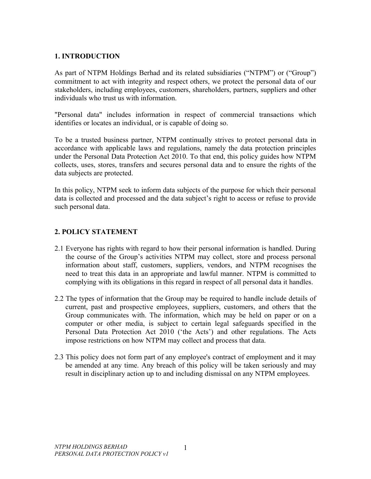# **1. INTRODUCTION**

As part of NTPM Holdings Berhad and its related subsidiaries ("NTPM") or ("Group") commitment to act with integrity and respect others, we protect the personal data of our stakeholders, including employees, customers, shareholders, partners, suppliers and other individuals who trust us with information.

"Personal data" includes information in respect of commercial transactions which identifies or locates an individual, or is capable of doing so.

To be a trusted business partner, NTPM continually strives to protect personal data in accordance with applicable laws and regulations, namely the data protection principles under the Personal Data Protection Act 2010. To that end, this policy guides how NTPM collects, uses, stores, transfers and secures personal data and to ensure the rights of the data subjects are protected.

In this policy, NTPM seek to inform data subjects of the purpose for which their personal data is collected and processed and the data subject's right to access or refuse to provide such personal data.

# **2. POLICY STATEMENT**

- 2.1 Everyone has rights with regard to how their personal information is handled. During the course of the Group's activities NTPM may collect, store and process personal information about staff, customers, suppliers, vendors, and NTPM recognises the need to treat this data in an appropriate and lawful manner. NTPM is committed to complying with its obligations in this regard in respect of all personal data it handles.
- 2.2 The types of information that the Group may be required to handle include details of current, past and prospective employees, suppliers, customers, and others that the Group communicates with. The information, which may be held on paper or on a computer or other media, is subject to certain legal safeguards specified in the Personal Data Protection Act 2010 ('the Acts') and other regulations. The Acts impose restrictions on how NTPM may collect and process that data.
- 2.3 This policy does not form part of any employee's contract of employment and it may be amended at any time. Any breach of this policy will be taken seriously and may result in disciplinary action up to and including dismissal on any NTPM employees.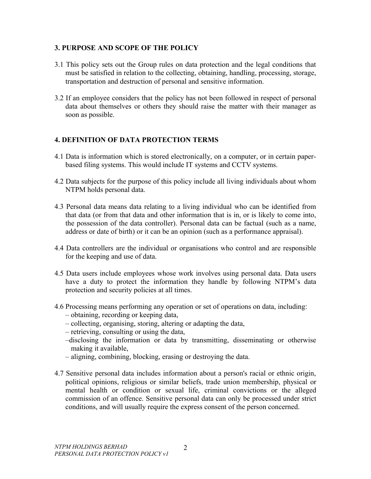## **3. PURPOSE AND SCOPE OF THE POLICY**

- 3.1 This policy sets out the Group rules on data protection and the legal conditions that must be satisfied in relation to the collecting, obtaining, handling, processing, storage, transportation and destruction of personal and sensitive information.
- 3.2 If an employee considers that the policy has not been followed in respect of personal data about themselves or others they should raise the matter with their manager as soon as possible.

# **4. DEFINITION OF DATA PROTECTION TERMS**

- 4.1 Data is information which is stored electronically, on a computer, or in certain paperbased filing systems. This would include IT systems and CCTV systems.
- 4.2 Data subjects for the purpose of this policy include all living individuals about whom NTPM holds personal data.
- 4.3 Personal data means data relating to a living individual who can be identified from that data (or from that data and other information that is in, or is likely to come into, the possession of the data controller). Personal data can be factual (such as a name, address or date of birth) or it can be an opinion (such as a performance appraisal).
- 4.4 Data controllers are the individual or organisations who control and are responsible for the keeping and use of data.
- 4.5 Data users include employees whose work involves using personal data. Data users have a duty to protect the information they handle by following NTPM's data protection and security policies at all times.
- 4.6 Processing means performing any operation or set of operations on data, including:
	- obtaining, recording or keeping data,
	- collecting, organising, storing, altering or adapting the data,
	- retrieving, consulting or using the data,
	- –disclosing the information or data by transmitting, disseminating or otherwise making it available,
	- aligning, combining, blocking, erasing or destroying the data.
- 4.7 Sensitive personal data includes information about a person's racial or ethnic origin, political opinions, religious or similar beliefs, trade union membership, physical or mental health or condition or sexual life, criminal convictions or the alleged commission of an offence. Sensitive personal data can only be processed under strict conditions, and will usually require the express consent of the person concerned.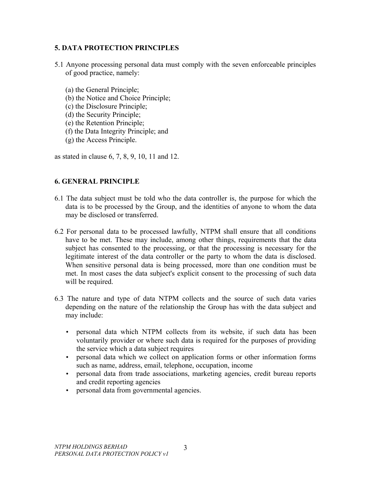# **5. DATA PROTECTION PRINCIPLES**

- 5.1 Anyone processing personal data must comply with the seven enforceable principles of good practice, namely:
	- (a) the General Principle;
	- (b) the Notice and Choice Principle;
	- (c) the Disclosure Principle;
	- (d) the Security Principle;
	- (e) the Retention Principle;
	- (f) the Data Integrity Principle; and
	- (g) the Access Principle.

as stated in clause 6, 7, 8, 9, 10, 11 and 12.

# **6. GENERAL PRINCIPLE**

- 6.1 The data subject must be told who the data controller is, the purpose for which the data is to be processed by the Group, and the identities of anyone to whom the data may be disclosed or transferred.
- 6.2 For personal data to be processed lawfully, NTPM shall ensure that all conditions have to be met. These may include, among other things, requirements that the data subject has consented to the processing, or that the processing is necessary for the legitimate interest of the data controller or the party to whom the data is disclosed. When sensitive personal data is being processed, more than one condition must be met. In most cases the data subject's explicit consent to the processing of such data will be required.
- 6.3 The nature and type of data NTPM collects and the source of such data varies depending on the nature of the relationship the Group has with the data subject and may include:
	- personal data which NTPM collects from its website, if such data has been voluntarily provider or where such data is required for the purposes of providing the service which a data subject requires
	- personal data which we collect on application forms or other information forms such as name, address, email, telephone, occupation, income
	- personal data from trade associations, marketing agencies, credit bureau reports and credit reporting agencies
	- personal data from governmental agencies.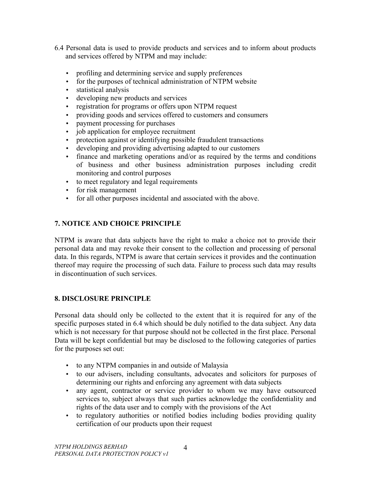- 6.4 Personal data is used to provide products and services and to inform about products and services offered by NTPM and may include:
	- profiling and determining service and supply preferences
	- for the purposes of technical administration of NTPM website
	- statistical analysis
	- developing new products and services
	- registration for programs or offers upon NTPM request
	- providing goods and services offered to customers and consumers
	- payment processing for purchases
	- job application for employee recruitment
	- protection against or identifying possible fraudulent transactions
	- developing and providing advertising adapted to our customers
	- finance and marketing operations and/or as required by the terms and conditions of business and other business administration purposes including credit monitoring and control purposes
	- to meet regulatory and legal requirements
	- for risk management
	- for all other purposes incidental and associated with the above.

# **7. NOTICE AND CHOICE PRINCIPLE**

NTPM is aware that data subjects have the right to make a choice not to provide their personal data and may revoke their consent to the collection and processing of personal data. In this regards, NTPM is aware that certain services it provides and the continuation thereof may require the processing of such data. Failure to process such data may results in discontinuation of such services.

#### **8. DISCLOSURE PRINCIPLE**

Personal data should only be collected to the extent that it is required for any of the specific purposes stated in 6.4 which should be duly notified to the data subject. Any data which is not necessary for that purpose should not be collected in the first place. Personal Data will be kept confidential but may be disclosed to the following categories of parties for the purposes set out:

- to any NTPM companies in and outside of Malaysia
- to our advisers, including consultants, advocates and solicitors for purposes of determining our rights and enforcing any agreement with data subjects
- any agent, contractor or service provider to whom we may have outsourced services to, subject always that such parties acknowledge the confidentiality and rights of the data user and to comply with the provisions of the Act
- to regulatory authorities or notified bodies including bodies providing quality certification of our products upon their request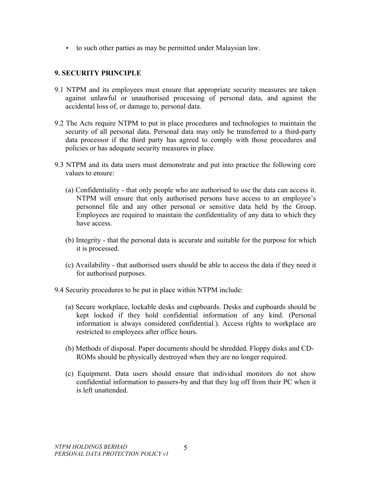• to such other parties as may be permitted under Malaysian law.

# **9. SECURITY PRINCIPLE**

- 9.1 NTPM and its employees must ensure that appropriate security measures are taken against unlawful or unauthorised processing of personal data, and against the accidental loss of, or damage to, personal data.
- 9.2 The Acts require NTPM to put in place procedures and technologies to maintain the security of all personal data. Personal data may only be transferred to a third-party data processor if the third party has agreed to comply with those procedures and policies or has adequate security measures in place.
- 9.3 NTPM and its data users must demonstrate and put into practice the following core values to ensure:
	- (a) Confidentiality that only people who are authorised to use the data can access it. NTPM will ensure that only authorised persons have access to an employee's personnel file and any other personal or sensitive data held by the Group. Employees are required to maintain the confidentiality of any data to which they have access.
	- (b) Integrity that the personal data is accurate and suitable for the purpose for which it is processed.
	- (c) Availability that authorised users should be able to access the data if they need it for authorised purposes.
- 9.4 Security procedures to be put in place within NTPM include:
	- (a) Secure workplace, lockable desks and cupboards. Desks and cupboards should be kept locked if they hold confidential information of any kind. (Personal information is always considered confidential.). Access rights to workplace are restricted to employees after office hours.
	- (b) Methods of disposal. Paper documents should be shredded. Floppy disks and CD-ROMs should be physically destroyed when they are no longer required.
	- (c) Equipment. Data users should ensure that individual monitors do not show confidential information to passers-by and that they log off from their PC when it is left unattended.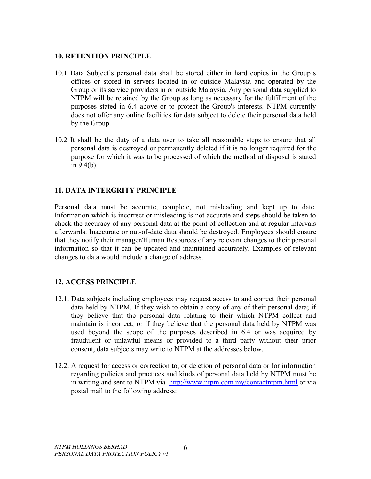#### **10. RETENTION PRINCIPLE**

- 10.1 Data Subject's personal data shall be stored either in hard copies in the Group's offices or stored in servers located in or outside Malaysia and operated by the Group or its service providers in or outside Malaysia. Any personal data supplied to NTPM will be retained by the Group as long as necessary for the fulfillment of the purposes stated in 6.4 above or to protect the Group's interests. NTPM currently does not offer any online facilities for data subject to delete their personal data held by the Group.
- 10.2 It shall be the duty of a data user to take all reasonable steps to ensure that all personal data is destroyed or permanently deleted if it is no longer required for the purpose for which it was to be processed of which the method of disposal is stated in 9.4(b).

# **11. DATA INTERGRITY PRINCIPLE**

Personal data must be accurate, complete, not misleading and kept up to date. Information which is incorrect or misleading is not accurate and steps should be taken to check the accuracy of any personal data at the point of collection and at regular intervals afterwards. Inaccurate or out-of-date data should be destroyed. Employees should ensure that they notify their manager/Human Resources of any relevant changes to their personal information so that it can be updated and maintained accurately. Examples of relevant changes to data would include a change of address.

#### **12. ACCESS PRINCIPLE**

- 12.1. Data subjects including employees may request access to and correct their personal data held by NTPM. If they wish to obtain a copy of any of their personal data; if they believe that the personal data relating to their which NTPM collect and maintain is incorrect; or if they believe that the personal data held by NTPM was used beyond the scope of the purposes described in 6.4 or was acquired by fraudulent or unlawful means or provided to a third party without their prior consent, data subjects may write to NTPM at the addresses below.
- 12.2. A request for access or correction to, or deletion of personal data or for information regarding policies and practices and kinds of personal data held by NTPM must be in writing and sent to NTPM via <http://www.ntpm.com.my/contactntpm.html>or via postal mail to the following address: